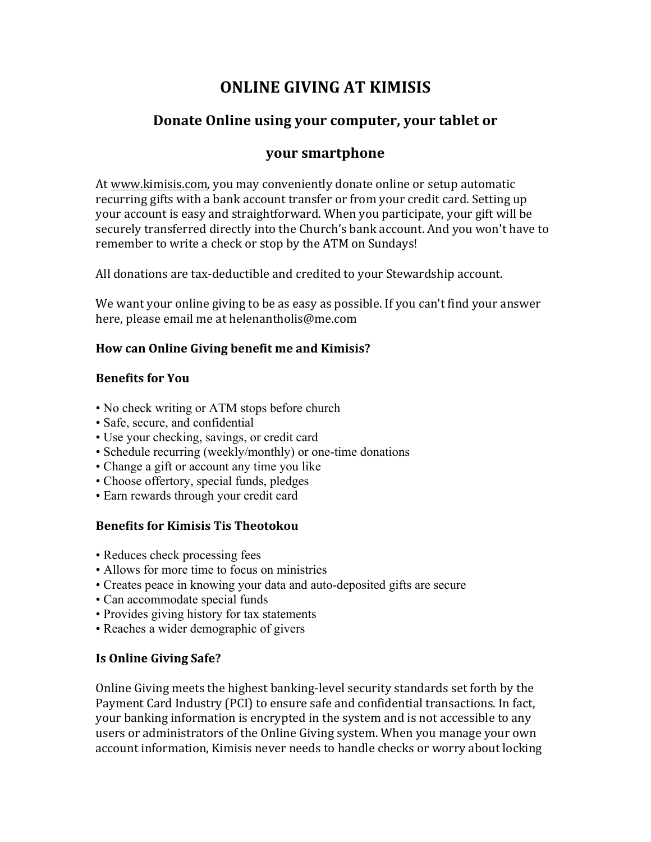# **ONLINE GIVING AT KIMISIS**

## **Donate Online using your computer, your tablet or**

## **your smartphone**

At www.kimisis.com, you may conveniently donate online or setup automatic recurring gifts with a bank account transfer or from your credit card. Setting up your account is easy and straightforward. When you participate, your gift will be securely transferred directly into the Church's bank account. And you won't have to remember to write a check or stop by the ATM on Sundays!

All donations are tax-deductible and credited to your Stewardship account.

We want your online giving to be as easy as possible. If you can't find your answer here, please email me at helenantholis@me.com

#### How can Online Giving benefit me and Kimisis?

#### **Benefits for You**

- No check writing or ATM stops before church
- Safe, secure, and confidential
- Use your checking, savings, or credit card
- Schedule recurring (weekly/monthly) or one-time donations
- Change a gift or account any time you like
- Choose offertory, special funds, pledges
- Earn rewards through your credit card

#### **Benefits for Kimisis Tis Theotokou**

- Reduces check processing fees
- Allows for more time to focus on ministries
- Creates peace in knowing your data and auto-deposited gifts are secure
- Can accommodate special funds
- Provides giving history for tax statements
- Reaches a wider demographic of givers

#### **Is Online Giving Safe?**

Online Giving meets the highest banking-level security standards set forth by the Payment Card Industry (PCI) to ensure safe and confidential transactions. In fact, your banking information is encrypted in the system and is not accessible to any users or administrators of the Online Giving system. When you manage your own account information, Kimisis never needs to handle checks or worry about locking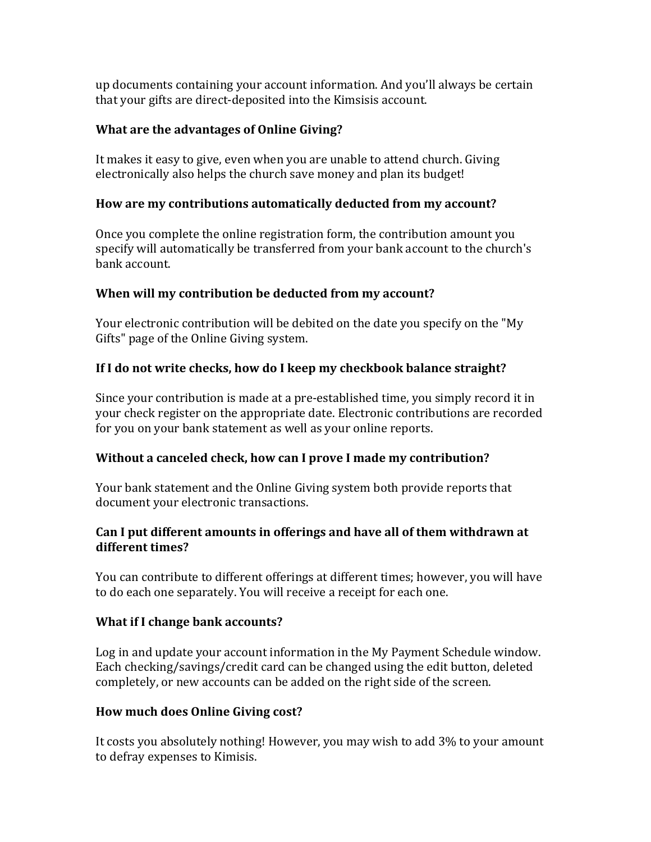up documents containing your account information. And you'll always be certain that your gifts are direct-deposited into the Kimsisis account.

#### **What are the advantages of Online Giving?**

It makes it easy to give, even when you are unable to attend church. Giving electronically also helps the church save money and plan its budget!

#### How are my contributions automatically deducted from my account?

Once you complete the online registration form, the contribution amount you specify will automatically be transferred from your bank account to the church's bank account.

#### **When will my contribution be deducted from my account?**

Your electronic contribution will be debited on the date you specify on the "My Gifts" page of the Online Giving system.

#### **If I do not write checks, how do I keep my checkbook balance straight?**

Since your contribution is made at a pre-established time, you simply record it in your check register on the appropriate date. Electronic contributions are recorded for you on your bank statement as well as your online reports.

#### **Without a canceled check, how can I prove I made my contribution?**

Your bank statement and the Online Giving system both provide reports that document your electronic transactions.

#### Can I put different amounts in offerings and have all of them withdrawn at different times?

You can contribute to different offerings at different times; however, you will have to do each one separately. You will receive a receipt for each one.

#### **What if I change bank accounts?**

Log in and update your account information in the My Payment Schedule window. Each checking/savings/credit card can be changed using the edit button, deleted completely, or new accounts can be added on the right side of the screen.

#### **How much does Online Giving cost?**

It costs you absolutely nothing! However, you may wish to add 3% to your amount to defray expenses to Kimisis.